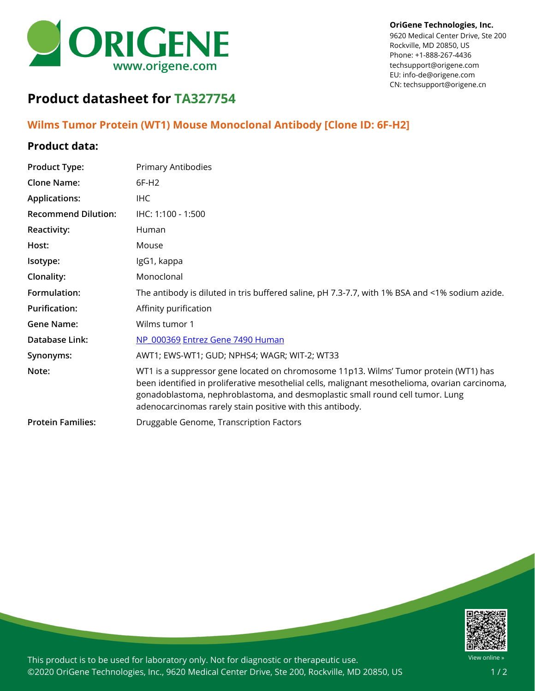

9620 Medical Center Drive, Ste 200 Rockville, MD 20850, US Phone: +1-888-267-4436 techsupport@origene.com EU: info-de@origene.com CN: techsupport@origene.cn

## **Product datasheet for TA327754**

## **Wilms Tumor Protein (WT1) Mouse Monoclonal Antibody [Clone ID: 6F-H2]**

## **Product data:**

| <b>Product Type:</b>       | Primary Antibodies                                                                                                                                                                                                                                                                                                                   |
|----------------------------|--------------------------------------------------------------------------------------------------------------------------------------------------------------------------------------------------------------------------------------------------------------------------------------------------------------------------------------|
| <b>Clone Name:</b>         | 6F-H <sub>2</sub>                                                                                                                                                                                                                                                                                                                    |
| <b>Applications:</b>       | <b>IHC</b>                                                                                                                                                                                                                                                                                                                           |
| <b>Recommend Dilution:</b> | IHC: 1:100 - 1:500                                                                                                                                                                                                                                                                                                                   |
| Reactivity:                | Human                                                                                                                                                                                                                                                                                                                                |
| Host:                      | Mouse                                                                                                                                                                                                                                                                                                                                |
| Isotype:                   | IgG1, kappa                                                                                                                                                                                                                                                                                                                          |
| Clonality:                 | Monoclonal                                                                                                                                                                                                                                                                                                                           |
| Formulation:               | The antibody is diluted in tris buffered saline, pH 7.3-7.7, with 1% BSA and <1% sodium azide.                                                                                                                                                                                                                                       |
| <b>Purification:</b>       | Affinity purification                                                                                                                                                                                                                                                                                                                |
| <b>Gene Name:</b>          | Wilms tumor 1                                                                                                                                                                                                                                                                                                                        |
| Database Link:             | NP 000369 Entrez Gene 7490 Human                                                                                                                                                                                                                                                                                                     |
| Synonyms:                  | AWT1; EWS-WT1; GUD; NPHS4; WAGR; WIT-2; WT33                                                                                                                                                                                                                                                                                         |
| Note:                      | WT1 is a suppressor gene located on chromosome 11p13. Wilms' Tumor protein (WT1) has<br>been identified in proliferative mesothelial cells, malignant mesothelioma, ovarian carcinoma,<br>gonadoblastoma, nephroblastoma, and desmoplastic small round cell tumor. Lung<br>adenocarcinomas rarely stain positive with this antibody. |
| <b>Protein Families:</b>   | Druggable Genome, Transcription Factors                                                                                                                                                                                                                                                                                              |



This product is to be used for laboratory only. Not for diagnostic or therapeutic use. ©2020 OriGene Technologies, Inc., 9620 Medical Center Drive, Ste 200, Rockville, MD 20850, US